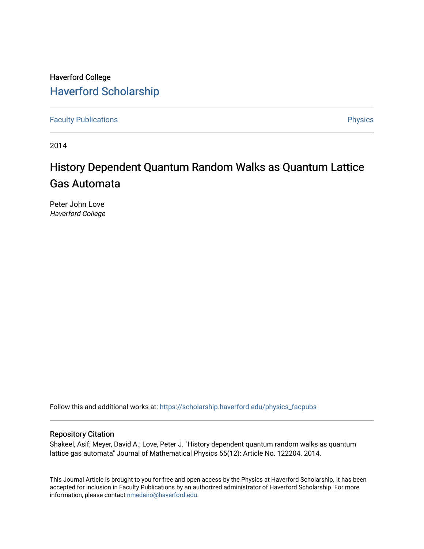Haverford College [Haverford Scholarship](https://scholarship.haverford.edu/)

[Faculty Publications](https://scholarship.haverford.edu/physics_facpubs) **Physics** 

2014

# History Dependent Quantum Random Walks as Quantum Lattice Gas Automata

Peter John Love Haverford College

Follow this and additional works at: [https://scholarship.haverford.edu/physics\\_facpubs](https://scholarship.haverford.edu/physics_facpubs?utm_source=scholarship.haverford.edu%2Fphysics_facpubs%2F359&utm_medium=PDF&utm_campaign=PDFCoverPages) 

# Repository Citation

Shakeel, Asif; Meyer, David A.; Love, Peter J. "History dependent quantum random walks as quantum lattice gas automata" Journal of Mathematical Physics 55(12): Article No. 122204. 2014.

This Journal Article is brought to you for free and open access by the Physics at Haverford Scholarship. It has been accepted for inclusion in Faculty Publications by an authorized administrator of Haverford Scholarship. For more information, please contact [nmedeiro@haverford.edu.](mailto:nmedeiro@haverford.edu)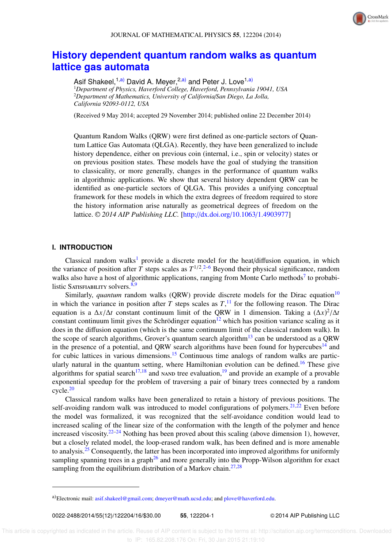

# **[History dependent quantum random walks as quantum](http://dx.doi.org/10.1063/1.4903977) [lattice gas automata](http://dx.doi.org/10.1063/1.4903977)**

Asif Shakeel,<sup>1[,a\)](#page-1-0)</sup> David A. Meyer,<sup>2,a)</sup> and Peter J. Love<sup>1,a)</sup> <sup>1</sup>*Department of Physics, Haverford College, Haverford, Pennsylvania 19041, USA* <sup>2</sup>*Department of Mathematics, University of California*/*San Diego, La Jolla, California 92093-0112, USA*

(Received 9 May 2014; accepted 29 November 2014; published online 22 December 2014)

Quantum Random Walks (QRW) were first defined as one-particle sectors of Quantum Lattice Gas Automata (QLGA). Recently, they have been generalized to include history dependence, either on previous coin (internal, i.e., spin or velocity) states or on previous position states. These models have the goal of studying the transition to classicality, or more generally, changes in the performance of quantum walks in algorithmic applications. We show that several history dependent QRW can be identified as one-particle sectors of QLGA. This provides a unifying conceptual framework for these models in which the extra degrees of freedom required to store the history information arise naturally as geometrical degrees of freedom on the lattice. <sup>C</sup> *2014 AIP Publishing LLC.* [\[http:](http://dx.doi.org/10.1063/1.4903977)//[dx.doi.org](http://dx.doi.org/10.1063/1.4903977)/[10.1063](http://dx.doi.org/10.1063/1.4903977)/[1.4903977\]](http://dx.doi.org/10.1063/1.4903977)

### **I. INTRODUCTION**

Classical random walks<sup>[1](#page-15-0)</sup> provide a discrete model for the heat/diffusion equation, in which the variance of position after *T* steps scales as  $T^{1/2}$ .<sup>2-[6](#page-15-2)</sup> Beyond their physical significance, random walks also have a host of algorithmic applications, ranging from Monte Carlo methods<sup>[7](#page-15-3)</sup> to probabilistic SATISFIABILITY solvers. $8,9$  $8,9$ 

Similarly, *quantum* random walks (QRW) provide discrete models for the Dirac equation<sup>[10](#page-15-6)</sup> in which the variance in position after  $T$  steps scales as  $T$ ,<sup>[11](#page-15-7)</sup>, for the following reason. The Dirac equation is a ∆*x*/∆*t* constant continuum limit of the QRW in 1 dimension. Taking a (∆*x*) 2 /∆*t* constant continuum limit gives the Schrödinger equation<sup>[12](#page-15-8)</sup> which has position variance scaling as it does in the diffusion equation (which is the same continuum limit of the classical random walk). In the scope of search algorithms, Grover's quantum search algorithm<sup>[13](#page-15-9)</sup> can be understood as a QRW in the presence of a potential, and QRW search algorithms have been found for hypercubes<sup>[14](#page-15-10)</sup> and for cubic lattices in various dimensions.<sup>[15](#page-15-11)</sup> Continuous time analogs of random walks are partic-ularly natural in the quantum setting, where Hamiltonian evolution can be defined.<sup>[16](#page-15-12)</sup> These give algorithms for spatial search<sup>[17](#page-15-13)[,18](#page-15-14)</sup> and  $nA$ <sub>NND</sub> tree evaluation,<sup>[19](#page-15-15)</sup> and provide an example of a provable exponential speedup for the problem of traversing a pair of binary trees connected by a random  $cycle.<sup>20</sup>$  $cycle.<sup>20</sup>$  $cycle.<sup>20</sup>$ 

Classical random walks have been generalized to retain a history of previous positions. The self-avoiding random walk was introduced to model configurations of polymers.<sup>[21,](#page-15-17)[22](#page-15-18)</sup> Even before the model was formalized, it was recognized that the self-avoidance condition would lead to increased scaling of the linear size of the conformation with the length of the polymer and hence increased viscosity.<sup>[22](#page-15-18)[–24](#page-16-0)</sup> Nothing has been proved about this scaling (above dimension 1), however, but a closely related model, the loop-erased random walk, has been defined and is more amenable to analysis.<sup>[25](#page-16-1)</sup> Consequently, the latter has been incorporated into improved algorithms for uniformly sampling spanning trees in a graph<sup>[26](#page-16-2)</sup> and more generally into the Propp-Wilson algorithm for exact sampling from the equilibrium distribution of a Markov chain.<sup>[27,](#page-16-3)[28](#page-16-4)</sup>

<span id="page-1-0"></span>a)Electronic mail: [asif.shakeel@gmail.com;](mailto:asif.shakeel@gmail.com) [dmeyer@math.ucsd.edu;](mailto:dmeyer@math.ucsd.edu) and [plove@haverford.edu.](mailto:plove@haverford.edu)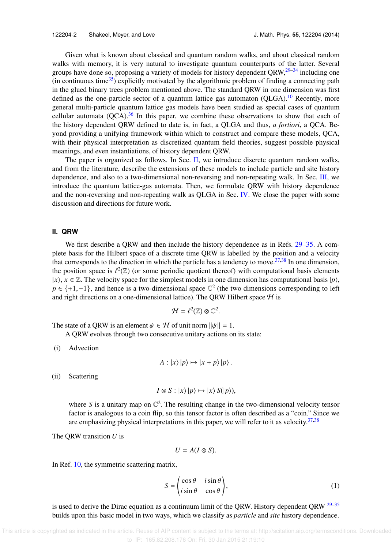Given what is known about classical and quantum random walks, and about classical random walks with memory, it is very natural to investigate quantum counterparts of the latter. Several groups have done so, proposing a variety of models for history dependent QRW,<sup>[29](#page-16-5)[–34](#page-16-6)</sup> including one (in continuous time<sup>[35](#page-16-7)</sup>) explicitly motivated by the algorithmic problem of finding a connecting path in the glued binary trees problem mentioned above. The standard QRW in one dimension was first defined as the one-particle sector of a quantum lattice gas automaton  $(QLGA)$ .<sup>[10](#page-15-6)</sup> Recently, more general multi-particle quantum lattice gas models have been studied as special cases of quantum cellular automata (QCA).<sup>[36](#page-16-8)</sup> In this paper, we combine these observations to show that each of the history dependent QRW defined to date is, in fact, a QLGA and thus, *a fortiori*, a QCA. Beyond providing a unifying framework within which to construct and compare these models, QCA, with their physical interpretation as discretized quantum field theories, suggest possible physical meanings, and even instantiations, of history dependent QRW.

The paper is organized as follows. In Sec.  $II$ , we introduce discrete quantum random walks, and from the literature, describe the extensions of these models to include particle and site history dependence, and also to a two-dimensional non-reversing and non-repeating walk. In Sec. [III,](#page-8-0) we introduce the quantum lattice-gas automata. Then, we formulate QRW with history dependence and the non-reversing and non-repeating walk as QLGA in Sec. [IV.](#page-9-0) We close the paper with some discussion and directions for future work.

#### <span id="page-2-0"></span>**II. QRW**

We first describe a QRW and then include the history dependence as in Refs. [29–](#page-16-5)[35.](#page-16-7) A complete basis for the Hilbert space of a discrete time QRW is labelled by the position and a velocity that corresponds to the direction in which the particle has a tendency to move.<sup>[37,](#page-16-9)[38](#page-16-10)</sup> In one dimension, the position space is  $\ell^2(\mathbb{Z})$  (or some periodic quotient thereof) with computational basis elements  $|x\rangle$ ,  $x \in \mathbb{Z}$ . The velocity space for the simplest models in one dimension has computational basis  $|p\rangle$ ,  $p \in \{+1,-1\}$ , and hence is a two-dimensional space  $\mathbb{C}^2$  (the two dimensions corresponding to left and right directions on a one-dimensional lattice). The QRW Hilbert space  $H$  is

$$
\mathcal{H}=\ell^2(\mathbb{Z})\otimes\mathbb{C}^2.
$$

The state of a QRW is an element  $\psi \in \mathcal{H}$  of unit norm  $\|\psi\| = 1$ .

A QRW evolves through two consecutive unitary actions on its state:

(i) Advection

$$
A: |x\rangle |p\rangle \mapsto |x+p\rangle |p\rangle.
$$

(ii) Scattering

$$
I \otimes S : |x\rangle |p\rangle \mapsto |x\rangle S(|p\rangle),
$$

where S is a unitary map on  $\mathbb{C}^2$ . The resulting change in the two-dimensional velocity tensor factor is analogous to a coin flip, so this tensor factor is often described as a "coin." Since we are emphasizing physical interpretations in this paper, we will refer to it as velocity.<sup>[37](#page-16-9)[,38](#page-16-10)</sup>

The QRW transition *U* is

<span id="page-2-1"></span>
$$
U=A(I\otimes S).
$$

In Ref. [10,](#page-15-6) the symmetric scattering matrix,

$$
S = \begin{pmatrix} \cos \theta & i \sin \theta \\ i \sin \theta & \cos \theta \end{pmatrix},
$$
 (1)

<span id="page-2-2"></span>is used to derive the Dirac equation as a continuum limit of the QRW. History dependent QRW <sup>29-[35](#page-16-7)</sup> builds upon this basic model in two ways, which we classify as *particle* and *site* history dependence.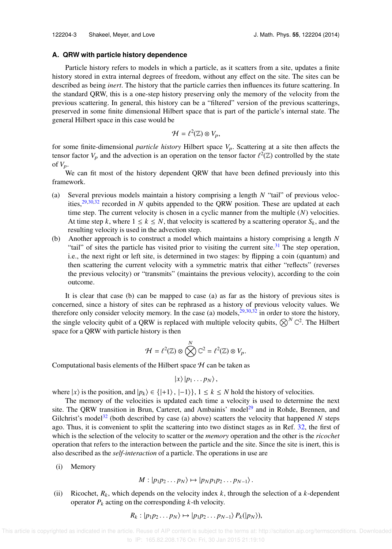#### **A. QRW with particle history dependence**

Particle history refers to models in which a particle, as it scatters from a site, updates a finite history stored in extra internal degrees of freedom, without any effect on the site. The sites can be described as being *inert*. The history that the particle carries then influences its future scattering. In the standard QRW, this is a one-step history preserving only the memory of the velocity from the previous scattering. In general, this history can be a "filtered" version of the previous scatterings, preserved in some finite dimensional Hilbert space that is part of the particle's internal state. The general Hilbert space in this case would be

$$
\mathcal{H}=\ell^2(\mathbb{Z})\otimes V_p,
$$

for some finite-dimensional *particle history* Hilbert space  $V_p$ . Scattering at a site then affects the tensor factor  $V_p$  and the advection is an operation on the tensor factor  $\ell^2(\mathbb{Z})$  controlled by the state of  $V_p$ .

We can fit most of the history dependent QRW that have been defined previously into this framework.

- (a) Several previous models maintain a history comprising a length *N* "tail" of previous veloc-ities,<sup>[29,](#page-16-5)[30](#page-16-11)[,32](#page-16-12)</sup> recorded in *N* qubits appended to the QRW position. These are updated at each time step. The current velocity is chosen in a cyclic manner from the multiple (*N*) velocities. At time step *k*, where  $1 \le k \le N$ , that velocity is scattered by a scattering operator  $S_k$ , and the resulting velocity is used in the advection step.
- (b) Another approach is to construct a model which maintains a history comprising a length *N* "tail" of sites the particle has visited prior to visiting the current site. $3<sup>1</sup>$  The step operation, i.e., the next right or left site, is determined in two stages: by flipping a coin (quantum) and then scattering the current velocity with a symmetric matrix that either "reflects" (reverses the previous velocity) or "transmits" (maintains the previous velocity), according to the coin outcome.

It is clear that case (b) can be mapped to case (a) as far as the history of previous sites is concerned, since a history of sites can be rephrased as a history of previous velocity values. We therefore only consider velocity memory. In the case (a) models,  $29,30,32$  $29,30,32$  $29,30,32$  in order to store the history, the single velocity qubit of a QRW is replaced with multiple velocity qubits,  $\bigotimes^N \mathbb{C}^2$ . The Hilbert space for a QRW with particle history is then

$$
\mathcal{H} = \ell^2(\mathbb{Z}) \otimes \bigotimes^N \mathbb{C}^2 = \ell^2(\mathbb{Z}) \otimes V_p.
$$

Computational basis elements of the Hilbert space  $H$  can be taken as

$$
|x\rangle |p_1\ldots p_N\rangle,
$$

where  $|x\rangle$  is the position, and  $|p_k\rangle \in \{|+1\rangle, |-1\rangle\}, 1 \leq k \leq N$  hold the history of velocities.

The memory of the velocities is updated each time a velocity is used to determine the next site. The ORW transition in Brun, Carteret, and Ambainis' model<sup>[29](#page-16-5)</sup> and in Rohde, Brennen, and Gilchrist's model<sup>[32](#page-16-12)</sup> (both described by case (a) above) scatters the velocity that happened  $N$  steps ago. Thus, it is convenient to split the scattering into two distinct stages as in Ref. [32,](#page-16-12) the first of which is the selection of the velocity to scatter or the *memory* operation and the other is the *ricochet* operation that refers to the interaction between the particle and the site. Since the site is inert, this is also described as the *self-interaction* of a particle. The operations in use are

(i) Memory

$$
M: |p_1p_2\ldots p_N\rangle \mapsto |p_Np_1p_2\ldots p_{N-1}\rangle.
$$

(ii) Ricochet,  $R_k$ , which depends on the velocity index  $k$ , through the selection of a  $k$ -dependent operator  $P_k$  acting on the corresponding  $k$ -th velocity.

$$
R_k: |p_1p_2\ldots p_N\rangle \mapsto |p_1p_2\ldots p_{N-1}\rangle P_k(|p_N\rangle),
$$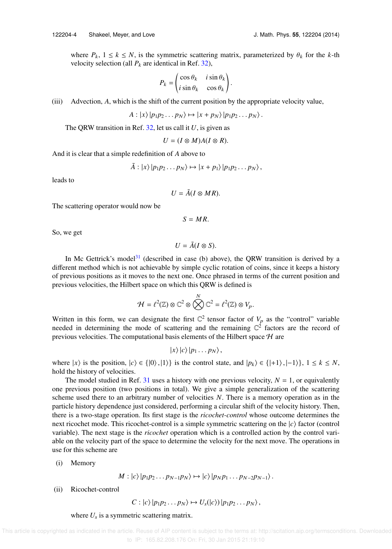where  $P_k$ ,  $1 \le k \le N$ , is the symmetric scattering matrix, parameterized by  $\theta_k$  for the *k*-th velocity selection (all  $P_k$  are identical in Ref. [32\)](#page-16-12),

$$
P_k = \begin{pmatrix} \cos \theta_k & i \sin \theta_k \\ i \sin \theta_k & \cos \theta_k \end{pmatrix}.
$$

(iii) Advection, *A*, which is the shift of the current position by the appropriate velocity value,

$$
A: |x\rangle |p_1p_2\ldots p_N\rangle \mapsto |x+p_N\rangle |p_1p_2\ldots p_N\rangle.
$$

The QRW transition in Ref. [32,](#page-16-12) let us call it *U*, is given as

$$
U=(I\otimes M)A(I\otimes R).
$$

And it is clear that a simple redefinition of *A* above to

$$
\tilde{A}: |x\rangle |p_1p_2\ldots p_N\rangle \mapsto |x+p_1\rangle |p_1p_2\ldots p_N\rangle,
$$

leads to

$$
U=\tilde{A}(I\otimes MR).
$$

The scattering operator would now be

$$
S=MR.
$$

So, we get

 $U = \tilde{A}(I \otimes S)$ .

In Mc Gettrick's model<sup>[31](#page-16-13)</sup> (described in case (b) above), the QRW transition is derived by a different method which is not achievable by simple cyclic rotation of coins, since it keeps a history of previous positions as it moves to the next one. Once phrased in terms of the current position and previous velocities, the Hilbert space on which this QRW is defined is

$$
\mathcal{H} = \ell^2(\mathbb{Z}) \otimes \mathbb{C}^2 \otimes \bigotimes^N \mathbb{C}^2 = \ell^2(\mathbb{Z}) \otimes V_p.
$$

Written in this form, we can designate the first  $\mathbb{C}^2$  tensor factor of  $V_p$  as the "control" variable needed in determining the mode of scattering and the remaining  $\mathbb{C}^2$  factors are the record of previous velocities. The computational basis elements of the Hilbert space  $H$  are

$$
|x\rangle |c\rangle |p_1\ldots p_N\rangle,
$$

where  $|x\rangle$  is the position,  $|c\rangle \in \{ |0\rangle, |1\rangle \}$  is the control state, and  $|p_k\rangle \in \{ |+1\rangle, |-1\rangle \}$ ,  $1 \le k \le N$ , hold the history of velocities.

The model studied in Ref. [31](#page-16-13) uses a history with one previous velocity,  $N = 1$ , or equivalently one previous position (two positions in total). We give a simple generalization of the scattering scheme used there to an arbitrary number of velocities *N*. There is a memory operation as in the particle history dependence just considered, performing a circular shift of the velocity history. Then, there is a two-stage operation. Its first stage is the *ricochet-control* whose outcome determines the next ricochet mode. This ricochet-control is a simple symmetric scattering on the |*c*⟩ factor (control variable). The next stage is the *ricochet* operation which is a controlled action by the control variable on the velocity part of the space to determine the velocity for the next move. The operations in use for this scheme are

(i) Memory

$$
M: |c\rangle |p_1p_2\ldots p_{N-1}p_N\rangle \mapsto |c\rangle |p_Np_1\ldots p_{N-2}p_{N-1}\rangle.
$$

(ii) Ricochet-control

$$
C: |c\rangle |p_1p_2\ldots p_N\rangle \mapsto U_s(|c\rangle) |p_1p_2\ldots p_N\rangle,
$$

where  $U_s$  is a symmetric scattering matrix.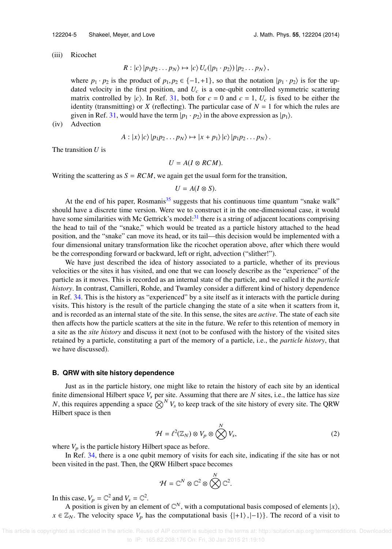#### (iii) Ricochet

$$
R: |c\rangle |p_1p_2\ldots p_N\rangle \mapsto |c\rangle U_c(|p_1\cdot p_2\rangle) |p_2\ldots p_N\rangle,
$$

where  $p_1 \cdot p_2$  is the product of  $p_1, p_2 \in \{-1, +1\}$ , so that the notation  $|p_1 \cdot p_2\rangle$  is for the updated velocity in the first position, and  $U_c$  is a one-qubit controlled symmetric scattering matrix controlled by  $|c\rangle$ . In Ref. [31,](#page-16-13) both for  $c = 0$  and  $c = 1$ ,  $U_c$  is fixed to be either the identity (transmitting) or *X* (reflecting). The particular case of  $N = 1$  for which the rules are given in Ref. [31,](#page-16-13) would have the term  $|p_1 \cdot p_2\rangle$  in the above expression as  $|p_1\rangle$ .

(iv) Advection

$$
A: |x\rangle |c\rangle |p_1p_2\ldots p_N\rangle \mapsto |x+p_1\rangle |c\rangle |p_1p_2\ldots p_N\rangle.
$$

The transition *U* is

$$
U=A(I\otimes RCM).
$$

Writing the scattering as  $S = RCM$ , we again get the usual form for the transition,

 $U = A(I \otimes S)$ .

At the end of his paper, Rosmanis<sup>[35](#page-16-7)</sup> suggests that his continuous time quantum "snake walk" should have a discrete time version. Were we to construct it in the one-dimensional case, it would have some similarities with Mc Gettrick's model: $31$  there is a string of adjacent locations comprising the head to tail of the "snake," which would be treated as a particle history attached to the head position, and the "snake" can move its head, or its tail—this decision would be implemented with a four dimensional unitary transformation like the ricochet operation above, after which there would be the corresponding forward or backward, left or right, advection ("slither!").

We have just described the idea of history associated to a particle, whether of its previous velocities or the sites it has visited, and one that we can loosely describe as the "experience" of the particle as it moves. This is recorded as an internal state of the particle, and we called it the *particle history*. In contrast, Camilleri, Rohde, and Twamley consider a different kind of history dependence in Ref. [34.](#page-16-6) This is the history as "experienced" by a site itself as it interacts with the particle during visits. This history is the result of the particle changing the state of a site when it scatters from it, and is recorded as an internal state of the site. In this sense, the sites are *active*. The state of each site then affects how the particle scatters at the site in the future. We refer to this retention of memory in a site as the *site history* and discuss it next (not to be confused with the history of the visited sites retained by a particle, constituting a part of the memory of a particle, i.e., the *particle history*, that we have discussed).

#### <span id="page-5-0"></span>**B. QRW with site history dependence**

Just as in the particle history, one might like to retain the history of each site by an identical finite dimensional Hilbert space  $V_s$  per site. Assuming that there are  $N$  sites, i.e., the lattice has size *N*, this requires appending a space  $\bigotimes^N V_s$  to keep track of the site history of every site. The QRW Hilbert space is then

<span id="page-5-1"></span>
$$
\mathcal{H} = \ell^2(\mathbb{Z}_N) \otimes V_p \otimes \bigotimes^N V_s, \tag{2}
$$

where  $V_p$  is the particle history Hilbert space as before.

In Ref. [34,](#page-16-6) there is a one qubit memory of visits for each site, indicating if the site has or not been visited in the past. Then, the QRW Hilbert space becomes

$$
\mathcal{H} = \mathbb{C}^N \otimes \mathbb{C}^2 \otimes \bigotimes^N \mathbb{C}^2.
$$

In this case,  $V_p = \mathbb{C}^2$  and  $V_s = \mathbb{C}^2$ .

A position is given by an element of  $\mathbb{C}^N$ , with a computational basis composed of elements  $|x\rangle$ , *x* ∈  $\mathbb{Z}_N$ . The velocity space  $V_p$  has the computational basis { $|+1\rangle$ ,  $|-1\rangle$ }. The record of a visit to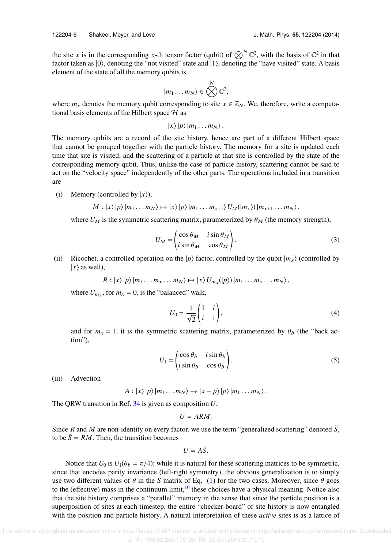the site *x* is in the corresponding *x*-th tensor factor (qubit) of  $\bigotimes^{N} \mathbb{C}^{2}$ , with the basis of  $\mathbb{C}^{2}$  in that factor taken as  $|0\rangle$ , denoting the "not visited" state and  $|1\rangle$ , denoting the "have visited" state. A basis element of the state of all the memory qubits is

$$
|m_1 \dots m_N\rangle \in \bigotimes^N \mathbb{C}^2,
$$

where  $m_x$  denotes the memory qubit corresponding to site  $x \in \mathbb{Z}_N$ . We, therefore, write a computational basis elements of the Hilbert space  $H$  as

$$
|x\rangle|p\rangle|m_1\ldots m_N\rangle.
$$

The memory qubits are a record of the site history, hence are part of a different Hilbert space that cannot be grouped together with the particle history. The memory for a site is updated each time that site is visited, and the scattering of a particle at that site is controlled by the state of the corresponding memory qubit. Thus, unlike the case of particle history, scattering cannot be said to act on the "velocity space" independently of the other parts. The operations included in a transition are

(i) Memory (controlled by  $|x\rangle$ ),

$$
M: |x\rangle |p\rangle |m_1\ldots m_N\rangle \mapsto |x\rangle |p\rangle |m_1\ldots m_{x-1}\rangle U_M(|m_x\rangle) |m_{x+1}\ldots m_N\rangle,
$$

where  $U_M$  is the symmetric scattering matrix, parameterized by  $\theta_M$  (the memory strength),

<span id="page-6-0"></span>
$$
U_M = \begin{pmatrix} \cos \theta_M & i \sin \theta_M \\ i \sin \theta_M & \cos \theta_M \end{pmatrix} .
$$
 (3)

(ii) Ricochet, a controlled operation on the  $|p\rangle$  factor, controlled by the qubit  $|m_x\rangle$  (controlled by  $|x\rangle$  as well),

 $R: |x\rangle |p\rangle |m_1 \ldots m_x \ldots m_N\rangle \mapsto |x\rangle U_{m_x}(|p\rangle) |m_1 \ldots m_x \ldots m_N\rangle,$ 

where  $U_{m_x}$ , for  $m_x = 0$ , is the "balanced" walk,

<span id="page-6-1"></span>
$$
U_0 = \frac{1}{\sqrt{2}} \begin{pmatrix} 1 & i \\ i & 1 \end{pmatrix},\tag{4}
$$

and for  $m_x = 1$ , it is the symmetric scattering matrix, parameterized by  $\theta_b$  (the "back action"),

$$
U_1 = \begin{pmatrix} \cos \theta_b & i \sin \theta_b \\ i \sin \theta_b & \cos \theta_b \end{pmatrix}.
$$
 (5)

(iii) Advection

 $A: |x\rangle |p\rangle |m_1 \ldots m_N\rangle \mapsto |x+p\rangle |p\rangle |m_1 \ldots m_N\rangle.$ 

The QRW transition in Ref. [34](#page-16-6) is given as composition *U*,

<span id="page-6-2"></span>
$$
U = ARM.
$$

Since *R* and *M* are non-identity on every factor, we use the term "generalized scattering" denoted  $\tilde{S}$ , to be  $\tilde{S} = RM$ . Then, the transition becomes

$$
U=A\tilde{S}.
$$

Notice that  $U_0$  is  $U_1(\theta_b = \pi/4)$ ; while it is natural for these scattering matrices to be symmetric, since that encodes parity invariance (left-right symmetry), the obvious generalization is to simply use two different values of  $\theta$  in the *S* matrix of Eq. [\(1\)](#page-2-1) for the two cases. Moreover, since  $\theta$  goes to the (effective) mass in the continuum limit, $10$  these choices have a physical meaning. Notice also that the site history comprises a "parallel" memory in the sense that since the particle position is a superposition of sites at each timestep, the entire "checker-board" of site history is now entangled with the position and particle history. A natural interpretation of these *active* sites is as a lattice of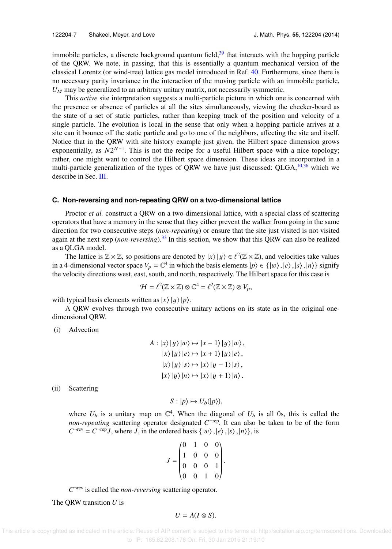immobile particles, a discrete background quantum field,<sup>[39](#page-16-14)</sup> that interacts with the hopping particle of the QRW. We note, in passing, that this is essentially a quantum mechanical version of the classical Lorentz (or wind-tree) lattice gas model introduced in Ref. [40.](#page-16-15) Furthermore, since there is no necessary parity invariance in the interaction of the moving particle with an immobile particle,  $U_M$  may be generalized to an arbitrary unitary matrix, not necessarily symmetric.

This *active* site interpretation suggests a multi-particle picture in which one is concerned with the presence or absence of particles at all the sites simultaneously, viewing the checker-board as the state of a set of static particles, rather than keeping track of the position and velocity of a single particle. The evolution is local in the sense that only when a hopping particle arrives at a site can it bounce off the static particle and go to one of the neighbors, affecting the site and itself. Notice that in the QRW with site history example just given, the Hilbert space dimension grows exponentially, as  $N2^{N+1}$ . This is not the recipe for a useful Hilbert space with a nice topology; rather, one might want to control the Hilbert space dimension. These ideas are incorporated in a multi-particle generalization of the types of QRW we have just discussed: QLGA,<sup>[10](#page-15-6)[,36](#page-16-8)</sup> which we describe in Sec. [III.](#page-8-0)

#### <span id="page-7-0"></span>**C. Non-reversing and non-repeating QRW on a two-dimensional lattice**

Proctor *et al.* construct a QRW on a two-dimensional lattice, with a special class of scattering operators that have a memory in the sense that they either prevent the walker from going in the same direction for two consecutive steps (*non-repeating*) or ensure that the site just visited is not visited again at the next step (*non-reversing*).[33](#page-16-16) In this section, we show that this QRW can also be realized as a QLGA model.

The lattice is  $\mathbb{Z} \times \mathbb{Z}$ , so positions are denoted by  $|x\rangle |y\rangle \in \ell^2(\mathbb{Z} \times \mathbb{Z})$ , and velocities take values in a 4-dimensional vector space  $V_p = \mathbb{C}^4$  in which the basis elements  $|p\rangle \in \{ |w\rangle, |e\rangle, |s\rangle, |n\rangle \}$  signify the velocity directions west, east, south, and north, respectively. The Hilbert space for this case is

$$
\mathcal{H} = \ell^2(\mathbb{Z} \times \mathbb{Z}) \otimes \mathbb{C}^4 = \ell^2(\mathbb{Z} \times \mathbb{Z}) \otimes V_p,
$$

with typical basis elements written as  $|x\rangle |y\rangle |p\rangle$ .

A QRW evolves through two consecutive unitary actions on its state as in the original onedimensional QRW.

(i) Advection

$$
A: |x\rangle |y\rangle |w\rangle \mapsto |x - 1\rangle |y\rangle |w\rangle ,|x\rangle |y\rangle |e\rangle \mapsto |x + 1\rangle |y\rangle |e\rangle ,|x\rangle |y\rangle |s\rangle \mapsto |x\rangle |y - 1\rangle |s\rangle ,|x\rangle |y\rangle |n\rangle \mapsto |x\rangle |y + 1\rangle |n\rangle .
$$

(ii) Scattering

 $S: |p\rangle \mapsto U_b(|p\rangle),$ 

where  $U_b$  is a unitary map on  $\mathbb{C}^4$ . When the diagonal of  $U_b$  is all 0s, this is called the *non-repeating* scattering operator designated  $C$ <sup>-rep</sup>. It can also be taken to be of the form  $C^{-\text{rev}} = C^{-\text{rep}} J$ , where *J*, in the ordered basis  $\{|w\rangle, |e\rangle, |s\rangle, |n\rangle\}$ , is

$$
J = \begin{pmatrix} 0 & 1 & 0 & 0 \\ 1 & 0 & 0 & 0 \\ 0 & 0 & 0 & 1 \\ 0 & 0 & 1 & 0 \end{pmatrix}.
$$

*C* <sup>¬</sup>rev is called the *non-reversing* scattering operator.

The QRW transition *U* is

$$
U=A(I\otimes S).
$$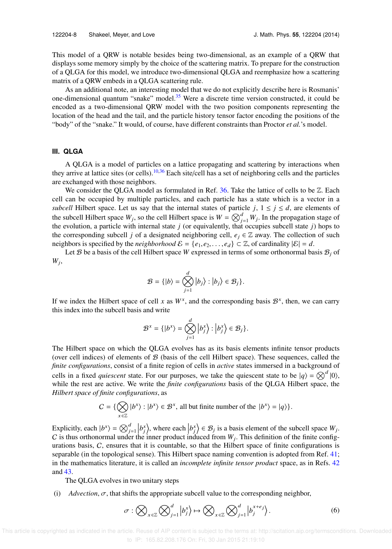This model of a QRW is notable besides being two-dimensional, as an example of a QRW that displays some memory simply by the choice of the scattering matrix. To prepare for the construction of a QLGA for this model, we introduce two-dimensional QLGA and reemphasize how a scattering matrix of a QRW embeds in a QLGA scattering rule.

As an additional note, an interesting model that we do not explicitly describe here is Rosmanis' one-dimensional quantum "snake" model.<sup>[35](#page-16-7)</sup> Were a discrete time version constructed, it could be encoded as a two-dimensional QRW model with the two position components representing the location of the head and the tail, and the particle history tensor factor encoding the positions of the "body" of the "snake." It would, of course, have different constraints than Proctor *et al.*'s model.

## <span id="page-8-0"></span>**III. QLGA**

A QLGA is a model of particles on a lattice propagating and scattering by interactions when they arrive at lattice sites (or cells).<sup>[10](#page-15-6)[,36](#page-16-8)</sup> Each site/cell has a set of neighboring cells and the particles are exchanged with those neighbors.

We consider the QLGA model as formulated in Ref. [36.](#page-16-8) Take the lattice of cells to be  $\mathbb{Z}$ . Each cell can be occupied by multiple particles, and each particle has a state which is a vector in a *subcell* Hilbert space. Let us say that the internal states of particle *j*,  $1 \le j \le d$ , are elements of the subcell Hilbert space  $W_j$ , so the cell Hilbert space is  $W = \bigotimes_{j=1}^d W_j$ . In the propagation stage of the evolution, a particle with internal state *j* (or equivalently, that occupies subcell state *j*) hops to the corresponding subcell *j* of a designated neighboring cell,  $e_i \in \mathbb{Z}$  away. The collection of such neighbors is specified by the *neighborhood*  $\mathcal{E} = \{e_1, e_2, \dots, e_d\} \subset \mathbb{Z}$ , of cardinality  $|\mathcal{E}| = d$ .

Let B be a basis of the cell Hilbert space *W* expressed in terms of some orthonormal basis  $B_i$  of *W*<sup>j</sup> ,

$$
\mathcal{B} = \{|b\rangle = \bigotimes_{j=1}^d |b_j\rangle : |b_j\rangle \in \mathcal{B}_j\}.
$$

If we index the Hilbert space of cell *x* as  $W^x$ , and the corresponding basis  $\mathcal{B}^x$ , then, we can carry this index into the subcell basis and write

$$
\mathcal{B}^x = \{|b^x\rangle = \bigotimes_{j=1}^d \left|b_j^x\right\rangle : \left|b_j^x\right\rangle \in \mathcal{B}_j\}.
$$

The Hilbert space on which the QLGA evolves has as its basis elements infinite tensor products (over cell indices) of elements of  $\mathcal B$  (basis of the cell Hilbert space). These sequences, called the *finite configurations*, consist of a finite region of cells in *active* states immersed in a background of cells in a fixed *quiescent* state. For our purposes, we take the quiescent state to be  $|q\rangle = \bigotimes^d |0\rangle$ , while the rest are active. We write the *finite configurations* basis of the QLGA Hilbert space, the *Hilbert space of finite configurations*, as

$$
C = \{ \bigotimes_{x \in \mathbb{Z}} |b^x\rangle : |b^x\rangle \in \mathcal{B}^x, \text{ all but finite number of the } |b^x\rangle = |q\rangle \}.
$$

Explicitly, each  $|b^x\rangle = \bigotimes_{j=1}^d |b_j^x\rangle$ , where each  $|b_j^x\rangle \in \mathcal{B}_j$  is a basis element of the subcell space  $W_j$ . C is thus orthonormal under the inner product induced from  $W_j$ . This definition of the finite configurations basis, C, ensures that it is countable, so that the Hilbert space of finite configurations is separable (in the topological sense). This Hilbert space naming convention is adopted from Ref. [41;](#page-16-17) in the mathematics literature, it is called an *incomplete infinite tensor product* space, as in Refs. [42](#page-16-18) and [43.](#page-16-19)

The QLGA evolves in two unitary steps

(i) *Advection*,  $\sigma$ , that shifts the appropriate subcell value to the corresponding neighbor,

<span id="page-8-1"></span>
$$
\sigma: \bigotimes_{x \in \mathbb{Z}} \bigotimes_{j=1}^d \left| b_j^x \right\rangle \mapsto \bigotimes_{x \in \mathbb{Z}} \bigotimes_{j=1}^d \left| b_j^{x+e_j} \right\rangle. \tag{6}
$$

 This article is copyrighted as indicated in the article. Reuse of AIP content is subject to the terms at: http://scitation.aip.org/termsconditions. Downloaded to IP: 165.82.208.176 On: Fri, 30 Jan 2015 21:19:10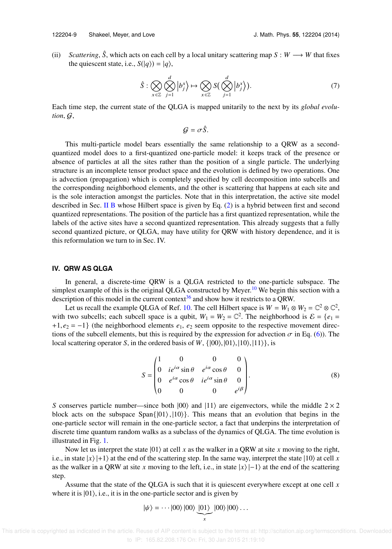(ii) *Scattering*,  $\hat{S}$ , which acts on each cell by a local unitary scattering map  $S : W \longrightarrow W$  that fixes the quiescent state, i.e.,  $S(|q\rangle) = |q\rangle$ ,

$$
\hat{S} : \bigotimes_{x \in \mathbb{Z}} \bigotimes_{j=1}^{d} \left| b_{j}^{x} \right\rangle \mapsto \bigotimes_{x \in \mathbb{Z}} S \left( \bigotimes_{j=1}^{d} \left| b_{j}^{x} \right\rangle \right).
$$
\n(7)

Each time step, the current state of the QLGA is mapped unitarily to the next by its *global evolution*, G,

<span id="page-9-1"></span>
$$
\mathcal{G}=\sigma\hat{S}.
$$

This multi-particle model bears essentially the same relationship to a QRW as a secondquantized model does to a first-quantized one-particle model: it keeps track of the presence or absence of particles at all the sites rather than the position of a single particle. The underlying structure is an incomplete tensor product space and the evolution is defined by two operations. One is advection (propagation) which is completely specified by cell decomposition into subcells and the corresponding neighborhood elements, and the other is scattering that happens at each site and is the sole interaction amongst the particles. Note that in this interpretation, the active site model described in Sec. [II B](#page-5-0) whose Hilbert space is given by Eq.  $(2)$  is a hybrid between first and second quantized representations. The position of the particle has a first quantized representation, while the labels of the active sites have a second quantized representation. This already suggests that a fully second quantized picture, or QLGA, may have utility for QRW with history dependence, and it is this reformulation we turn to in Sec. IV.

#### <span id="page-9-0"></span>**IV. QRW AS QLGA**

In general, a discrete-time QRW is a QLGA restricted to the one-particle subspace. The simplest example of this is the original QLGA constructed by Meyer.<sup>[10](#page-15-6)</sup> We begin this section with a description of this model in the current context $36$  and show how it restricts to a QRW.

Let us recall the example QLGA of Ref. [10.](#page-15-6) The cell Hilbert space is  $W = W_1 \otimes W_2 = \mathbb{C}^2 \otimes \mathbb{C}^2$ , with two subcells; each subcell space is a qubit,  $W_1 = W_2 = \mathbb{C}^2$ . The neighborhood is  $\mathcal{E} = \{e_1 =$  $+1, e_2 = -1$ } (the neighborhood elements  $e_1, e_2$  seem opposite to the respective movement directions of the subcell elements, but this is required by the expression for advection  $\sigma$  in Eq. [\(6\)\)](#page-8-1). The local scattering operator *S*, in the ordered basis of *W*,  $\{ |00\rangle, |01\rangle, |10\rangle, |11\rangle \}$ , is

<span id="page-9-2"></span>
$$
S = \begin{pmatrix} 1 & 0 & 0 & 0 \\ 0 & ie^{i\alpha}\sin\theta & e^{i\alpha}\cos\theta & 0 \\ 0 & e^{i\alpha}\cos\theta & ie^{i\alpha}\sin\theta & 0 \\ 0 & 0 & 0 & e^{i\beta} \end{pmatrix}.
$$
 (8)

*S* conserves particle number—since both  $|00\rangle$  and  $|11\rangle$  are eigenvectors, while the middle  $2 \times 2$ block acts on the subspace  $Span\{|01\rangle, |10\rangle\}$ . This means that an evolution that begins in the one-particle sector will remain in the one-particle sector, a fact that underpins the interpretation of discrete time quantum random walks as a subclass of the dynamics of QLGA. The time evolution is illustrated in Fig. [1.](#page-10-0)

Now let us interpret the state  $|01\rangle$  at cell *x* as the walker in a QRW at site *x* moving to the right, i.e., in state  $|x\rangle$  |+1 $\rangle$  at the end of the scattering step. In the same way, interpret the state  $|10\rangle$  at cell *x* as the walker in a QRW at site *x* moving to the left, i.e., in state  $|x\rangle|-1\rangle$  at the end of the scattering step.

Assume that the state of the QLGA is such that it is quiescent everywhere except at one cell *x* where it is  $|01\rangle$ , i.e., it is in the one-particle sector and is given by

$$
|\psi\rangle = \cdots |00\rangle |00\rangle \underbrace{|01\rangle}_{x} |00\rangle |00\rangle \dots
$$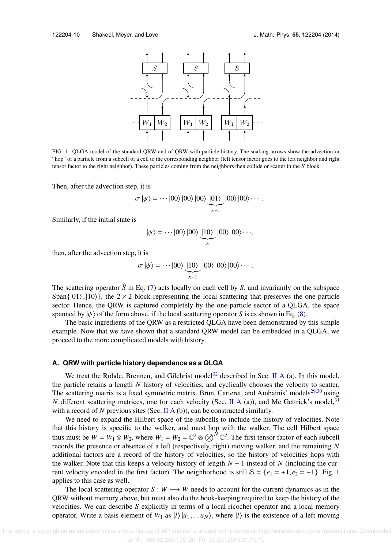<span id="page-10-0"></span>

FIG. 1. QLGA model of the standard QRW and of QRW with particle history. The snaking arrows show the advection or "hop" of a particle from a subcell of a cell to the corresponding neighbor (left tensor factor goes to the left neighbor and right tensor factor to the right neighbor). These particles coming from the neighbors then collide or scatter in the S block.

Then, after the advection step, it is

$$
\sigma |\psi\rangle = \cdots |00\rangle |00\rangle |00\rangle \underbrace{|01\rangle}_{x+1} |00\rangle |00\rangle \cdots.
$$

Similarly, if the initial state is

$$
|\psi\rangle = \cdots |00\rangle |00\rangle \underbrace{|10\rangle}_{x} |00\rangle |00\rangle \cdots,
$$

then, after the advection step, it is

$$
\sigma |\psi\rangle = \cdots |00\rangle \underbrace{|10\rangle}_{x-1} |00\rangle |00\rangle |00\rangle \cdots.
$$

The scattering operator  $\hat{S}$  in Eq. [\(7\)](#page-9-1) acts locally on each cell by *S*, and invariantly on the subspace Span $\{|01\rangle, |10\rangle\}$ , the 2 × 2 block representing the local scattering that preserves the one-particle sector. Hence, the QRW is captured completely by the one-particle sector of a QLGA, the space spanned by  $|\psi\rangle$  of the form above, if the local scattering operator *S* is as shown in Eq. [\(8\).](#page-9-2)

The basic ingredients of the QRW as a restricted QLGA have been demonstrated by this simple example. Now that we have shown that a standard QRW model can be embedded in a QLGA, we proceed to the more complicated models with history.

#### **A. QRW with particle history dependence as a QLGA**

We treat the Rohde, Brennen, and Gilchrist model<sup>[32](#page-16-12)</sup> described in Sec. [II A](#page-2-2) (a). In this model, the particle retains a length *N* history of velocities, and cyclically chooses the velocity to scatter. The scattering matrix is a fixed symmetric matrix. Brun, Carteret, and Ambainis' models $29,30$  $29,30$  using *N* different scattering matrices, one for each velocity (Sec. [II A](#page-2-2) (a)), and Mc Gettrick's model,  $31$ with a record of N previous sites (Sec. II  $A$  (b)), can be constructed similarly.

We need to expand the Hilbert space of the subcells to include the history of velocities. Note that this history is specific to the walker, and must hop with the walker. The cell Hilbert space thus must be  $W = W_1 \otimes W_2$ , where  $W_1 = W_2 = \mathbb{C}^2 \otimes \bigotimes^N \mathbb{C}^2$ . The first tensor factor of each subcell records the presence or absence of a left (respectively, right) moving walker, and the remaining *N* additional factors are a record of the history of velocities, so the history of velocities hops with the walker. Note that this keeps a velocity history of length  $N + 1$  instead of  $N$  (including the current velocity encoded in the first factor). The neighborhood is still  $\mathcal{E} = \{e_1 = +1, e_2 = -1\}$  $\mathcal{E} = \{e_1 = +1, e_2 = -1\}$  $\mathcal{E} = \{e_1 = +1, e_2 = -1\}$ . Fig. 1 applies to this case as well.

The local scattering operator  $S: W \longrightarrow W$  needs to account for the current dynamics as in the QRW without memory above, but must also do the book-keeping required to keep the history of the velocities. We can describe *S* explicitly in terms of a local ricochet operator and a local memory operator. Write a basis element of  $W_1$  as  $|l\rangle |u_1 \dots u_N\rangle$ , where  $|l\rangle$  is the existence of a left-moving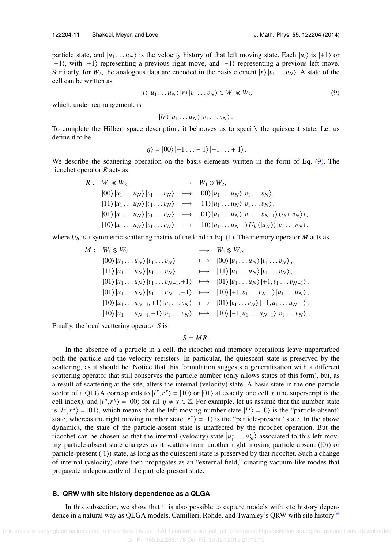<span id="page-11-0"></span>

particle state, and  $|u_1 \dots u_N\rangle$  is the velocity history of that left moving state. Each  $|u_i\rangle$  is  $|+1\rangle$  or |−1⟩, with |+1⟩ representing a previous right move, and |−1⟩ representing a previous left move. Similarly, for  $W_2$ , the analogous data are encoded in the basis element  $|r\rangle |v_1 \dots v_N\rangle$ . A state of the cell can be written as

$$
|l\rangle |u_1 \dots u_N\rangle |r\rangle |v_1 \dots v_N\rangle \in W_1 \otimes W_2, \tag{9}
$$

which, under rearrangement, is

 $|lr\rangle |u_1 \dots u_N\rangle |v_1 \dots v_N\rangle$ .

To complete the Hilbert space description, it behooves us to specify the quiescent state. Let us define it to be

$$
|q\rangle = |00\rangle | -1 \ldots -1\rangle | +1 \ldots +1\rangle.
$$

We describe the scattering operation on the basis elements written in the form of Eq. [\(9\).](#page-11-0) The ricochet operator *R* acts as

$$
R: W_1 \otimes W_2 \longrightarrow W_1 \otimes W_2,
$$
  
\n
$$
|00\rangle |u_1 \dots u_N\rangle |v_1 \dots v_N\rangle \longrightarrow |00\rangle |u_1 \dots u_N\rangle |v_1 \dots v_N\rangle,
$$
  
\n
$$
|11\rangle |u_1 \dots u_N\rangle |v_1 \dots v_N\rangle \longrightarrow |11\rangle |u_1 \dots u_N\rangle |v_1 \dots v_N\rangle,
$$
  
\n
$$
|01\rangle |u_1 \dots u_N\rangle |v_1 \dots v_N\rangle \longrightarrow |01\rangle |u_1 \dots u_N\rangle |v_1 \dots v_{N-1}\rangle U_b (|v_N\rangle),
$$
  
\n
$$
|10\rangle |u_1 \dots u_N\rangle |v_1 \dots v_N\rangle \longrightarrow |10\rangle |u_1 \dots u_{N-1}\rangle U_b (|u_N\rangle) |v_1 \dots v_N\rangle,
$$

where  $U_b$  is a symmetric scattering matrix of the kind in Eq. [\(1\).](#page-2-1) The memory operator *M* acts as

$$
M: W_1 \otimes W_2 \longrightarrow W_1 \otimes W_2,
$$
  
\n
$$
|00\rangle |u_1...u_N\rangle |v_1...v_N\rangle \longrightarrow |00\rangle |u_1...u_N\rangle |v_1...v_N\rangle,
$$
  
\n
$$
|11\rangle |u_1...u_N\rangle |v_1...v_N\rangle \longrightarrow |11\rangle |u_1...u_N\rangle |v_1...v_N\rangle,
$$
  
\n
$$
|01\rangle |u_1...u_N\rangle |v_1...v_{N-1},+1\rangle \longrightarrow |01\rangle |u_1...u_N\rangle |+1, v_1...v_{N-1}\rangle,
$$
  
\n
$$
|01\rangle |u_1...u_N\rangle |v_1...v_{N-1},-1\rangle \longrightarrow |10\rangle |+1, v_1...v_{N-1}\rangle |u_1...u_N\rangle,
$$
  
\n
$$
|10\rangle |u_1...u_{N-1},+1\rangle |v_1...v_N\rangle \longrightarrow |01\rangle |v_1...v_N\rangle |-1, u_1...u_{N-1}\rangle,
$$
  
\n
$$
|10\rangle |u_1...u_{N-1},-1\rangle |v_1...v_N\rangle \longrightarrow |10\rangle |-1, u_1...u_{N-1}\rangle |v_1...v_N\rangle.
$$

Finally, the local scattering operator *S* is

 $S = MR$ .

In the absence of a particle in a cell, the ricochet and memory operations leave unperturbed both the particle and the velocity registers. In particular, the quiescent state is preserved by the scattering, as it should be. Notice that this formulation suggests a generalization with a different scattering operator that still conserves the particle number (only allows states of this form), but, as a result of scattering at the site, alters the internal (velocity) state. A basis state in the one-particle sector of a QLGA corresponds to  $|l^x, r^x\rangle = |10\rangle$  or  $|01\rangle$  at exactly one cell *x* (the superscript is the cell index), and  $|l^y, r^y\rangle = |00\rangle$  for all  $y \neq x \in \mathbb{Z}$ . For example, let us assume that the number state is  $|l^x, r^x\rangle = |01\rangle$ , which means that the left moving number state  $|l^x\rangle = |0\rangle$  is the "particle-absent" state, whereas the right moving number state  $|r^x\rangle = |1\rangle$  is the "particle-present" state. In the above dynamics, the state of the particle-absent state is unaffected by the ricochet operation. But the ricochet can be chosen so that the internal (velocity) state  $|u_1^x \t ... u_N^x|$ associated to this left moving particle-absent state changes as it scatters from another right moving particle-absent (|0⟩) or particle-present  $(|1\rangle)$  state, as long as the quiescent state is preserved by that ricochet. Such a change of internal (velocity) state then propagates as an "external field," creating vacuum-like modes that propagate independently of the particle-present state.

#### **B. QRW with site history dependence as a QLGA**

In this subsection, we show that it is also possible to capture models with site history depen-dence in a natural way as QLGA models. Camilleri, Rohde, and Twamley's QRW with site history<sup>[34](#page-16-6)</sup>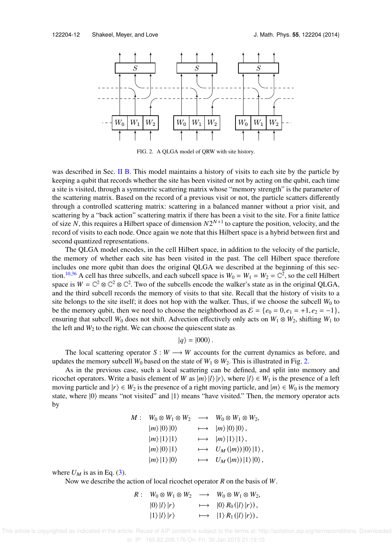<span id="page-12-0"></span>

FIG. 2. A QLGA model of QRW with site history.

was described in Sec. [II B.](#page-5-0) This model maintains a history of visits to each site by the particle by keeping a qubit that records whether the site has been visited or not by acting on the qubit, each time a site is visited, through a symmetric scattering matrix whose "memory strength" is the parameter of the scattering matrix. Based on the record of a previous visit or not, the particle scatters differently through a controlled scattering matrix: scattering in a balanced manner without a prior visit, and scattering by a "back action" scattering matrix if there has been a visit to the site. For a finite lattice of size N, this requires a Hilbert space of dimension  $N2^{N+1}$  to capture the position, velocity, and the record of visits to each node. Once again we note that this Hilbert space is a hybrid between first and second quantized representations.

The QLGA model encodes, in the cell Hilbert space, in addition to the velocity of the particle, the memory of whether each site has been visited in the past. The cell Hilbert space therefore includes one more qubit than does the original QLGA we described at the beginning of this sec-tion.<sup>[10,](#page-15-6)[36](#page-16-8)</sup> A cell has three subcells, and each subcell space is  $W_0 = W_1 = W_2 = \mathbb{C}^2$ , so the cell Hilbert space is  $W = \mathbb{C}^2 \otimes \mathbb{C}^2 \otimes \mathbb{C}^2$ . Two of the subcells encode the walker's state as in the original QLGA, and the third subcell records the memory of visits to that site. Recall that the history of visits to a site belongs to the site itself; it does not hop with the walker. Thus, if we choose the subcell  $W_0$  to be the memory qubit, then we need to choose the neighborhood as  $\mathcal{E} = \{e_0 = 0, e_1 = +1, e_2 = -1\}$ , ensuring that subcell *W*<sub>0</sub> does not shift. Advection effectively only acts on  $W_1 \otimes W_2$ , shifting *W*<sub>1</sub> to the left and  $W_2$  to the right. We can choose the quiescent state as

$$
|q\rangle = |000\rangle.
$$

The local scattering operator  $S: W \longrightarrow W$  accounts for the current dynamics as before, and updates the memory subcell *W*<sub>0</sub> based on the state of *W*<sub>1</sub> ⊗ *W*<sub>2</sub>. This is illustrated in Fig. [2.](#page-12-0)

As in the previous case, such a local scattering can be defined, and split into memory and ricochet operators. Write a basis element of *W* as  $|m \rangle |l \rangle |r \rangle$ , where  $|l \rangle \in W_1$  is the presence of a left moving particle and  $|r\rangle \in W_2$  is the presence of a right moving particle, and  $|m\rangle \in W_0$  is the memory state, where  $|0\rangle$  means "not visited" and  $|1\rangle$  means "have visited." Then, the memory operator acts by

| $M$ : | $W_0 \otimes W_1 \otimes W_2$ | $\longrightarrow W_0 \otimes W_1 \otimes W_2$ |
|-------|-------------------------------|-----------------------------------------------|
|       | $ m\rangle 0\rangle 0\rangle$ | $\mapsto$ $ m\rangle 0\rangle 0\rangle,$      |
|       | $ m\rangle 1\rangle 1\rangle$ | $\mapsto$ $ m\rangle 1\rangle 1\rangle,$      |
|       | $ m\rangle 0\rangle 1\rangle$ | $\mapsto U_M( m\rangle) 0\rangle 1\rangle,$   |
|       | $ m\rangle 1\rangle 0\rangle$ | $\mapsto U_M( m\rangle) 1\rangle 0\rangle,$   |
|       |                               |                                               |

where  $U_M$  is as in Eq. [\(3\).](#page-6-0)

Now we describe the action of local ricochet operator *R* on the basis of *W*.

| $R: W_0 \otimes W_1 \otimes W_2$ | $\longrightarrow W_0 \otimes W_1 \otimes W_2$  |
|----------------------------------|------------------------------------------------|
| $ 0\rangle l\rangle r\rangle$    | $\mapsto$ $ 0\rangle R_0( l\rangle r\rangle),$ |
| $ 1\rangle l\rangle r\rangle$    | $\mapsto$ $ 1\rangle R_1( l\rangle r\rangle),$ |

 This article is copyrighted as indicated in the article. Reuse of AIP content is subject to the terms at: http://scitation.aip.org/termsconditions. Downloaded to IP: 165.82.208.176 On: Fri, 30 Jan 2015 21:19:10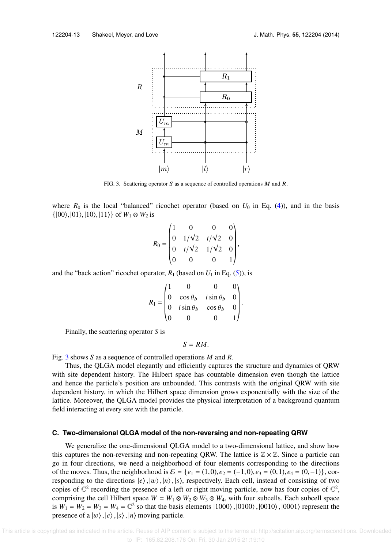<span id="page-13-0"></span>

FIG. 3. Scattering operator S as a sequence of controlled operations  $M$  and  $R$ .

where  $R_0$  is the local "balanced" ricochet operator (based on  $U_0$  in Eq. [\(4\)\)](#page-6-1), and in the basis  $\{|00\rangle, |01\rangle, |10\rangle, |11\rangle\}$  of  $W_1 \otimes W_2$  is

$$
R_0 = \begin{pmatrix} 1 & 0 & 0 & 0 \\ 0 & 1/\sqrt{2} & i/\sqrt{2} & 0 \\ 0 & i/\sqrt{2} & 1/\sqrt{2} & 0 \\ 0 & 0 & 0 & 1 \end{pmatrix},
$$

and the "back action" ricochet operator,  $R_1$  (based on  $U_1$  in Eq. [\(5\)\)](#page-6-2), is

$$
R_1 = \begin{pmatrix} 1 & 0 & 0 & 0 \\ 0 & \cos \theta_b & i \sin \theta_b & 0 \\ 0 & i \sin \theta_b & \cos \theta_b & 0 \\ 0 & 0 & 0 & 1 \end{pmatrix}.
$$

Finally, the scattering operator *S* is

$$
S=RM.
$$

Fig. [3](#page-13-0) shows *S* as a sequence of controlled operations *M* and *R*.

Thus, the QLGA model elegantly and efficiently captures the structure and dynamics of QRW with site dependent history. The Hilbert space has countable dimension even though the lattice and hence the particle's position are unbounded. This contrasts with the original QRW with site dependent history, in which the Hilbert space dimension grows exponentially with the size of the lattice. Moreover, the QLGA model provides the physical interpretation of a background quantum field interacting at every site with the particle.

#### **C. Two-dimensional QLGA model of the non-reversing and non-repeating QRW**

We generalize the one-dimensional QLGA model to a two-dimensional lattice, and show how this captures the non-reversing and non-repeating QRW. The lattice is  $\mathbb{Z} \times \mathbb{Z}$ . Since a particle can go in four directions, we need a neighborhood of four elements corresponding to the directions of the moves. Thus, the neighborhood is  $\mathcal{E} = \{e_1 = (1,0), e_2 = (-1,0), e_3 = (0,1), e_4 = (0,-1)\}\,$ , corresponding to the directions  $|e\rangle$ ,  $|w\rangle$ ,  $|n\rangle$ ,  $|s\rangle$ , respectively. Each cell, instead of consisting of two copies of  $\mathbb{C}^2$  recording the presence of a left or right moving particle, now has four copies of  $\mathbb{C}^2$ , comprising the cell Hilbert space  $W = W_1 \otimes W_2 \otimes W_3 \otimes W_4$ , with four subcells. Each subcell space is  $W_1 = W_2 = W_3 = W_4 = \mathbb{C}^2$  so that the basis elements  $|1000\rangle, |0100\rangle, |0010\rangle, |0001\rangle$  represent the presence of a |w⟩, |*e*⟩, |*s*⟩, |*n*⟩ moving particle.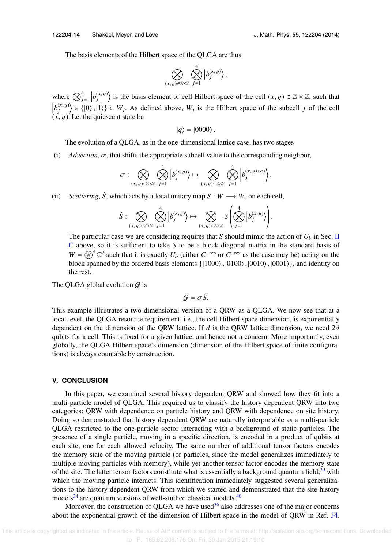The basis elements of the Hilbert space of the QLGA are thus

$$
\bigotimes_{(x,y)\in\mathbb{Z}\times\mathbb{Z}}\bigotimes_{j=1}^4\left|b_j^{(x,y)}\right\rangle,
$$

where  $\bigotimes_{j=1}^{4} |b_j^{(x,y)}|$  $\langle x, y \rangle$  is the basis element of cell Hilbert space of the cell  $(x, y) \in \mathbb{Z} \times \mathbb{Z}$ , such that  $\begin{cases} b_j^{(x,y)} \\ j \\ (x,y) \end{cases}$  $\{ |0\rangle, |1\rangle \} \subset W_j$ . As defined above,  $W_j$  is the Hilbert space of the subcell *j* of the cell  $(x, y)$ . Let the quiescent state be

$$
|q\rangle = |0000\rangle.
$$

The evolution of a QLGA, as in the one-dimensional lattice case, has two stages

(i) *Advection*,  $\sigma$ , that shifts the appropriate subcell value to the corresponding neighbor,

$$
\sigma: \bigotimes_{(x,y)\in {\mathbb Z}\times {\mathbb Z}}\bigotimes_{j=1}^4\left|b_j^{(x,y)}\right\rangle \mapsto \bigotimes_{(x,y)\in {\mathbb Z}\times {\mathbb Z}}\bigotimes_{j=1}^4\left|b_j^{(x,y)+e_j}\right\rangle.
$$

(ii) *Scattering*,  $\hat{S}$ , which acts by a local unitary map  $S : W \longrightarrow W$ , on each cell,

$$
\hat{S} : \bigotimes_{(x,y)\in\mathbb{Z}\times\mathbb{Z}} \bigotimes_{j=1}^{4} \left|b_j^{(x,y)}\right\rangle \mapsto \bigotimes_{(x,y)\in\mathbb{Z}\times\mathbb{Z}} S\left(\bigotimes_{j=1}^{4} \left|b_j^{(x,y)}\right\rangle\right).
$$

The particular case we are considering requires that  $S$  should mimic the action of  $U_b$  in Sec. [II](#page-7-0) [C](#page-7-0) above, so it is sufficient to take *S* to be a block diagonal matrix in the standard basis of  $W = \bigotimes^4 \mathbb{C}^2$  such that it is exactly  $U_b$  (either  $C^{\text{rep}}$  or  $C^{\text{prev}}$  as the case may be) acting on the block spanned by the ordered basis elements  $\{1000\rangle, 0010\rangle, 0001\rangle, 0001\rangle\}$ , and identity on the rest.

The QLGA global evolution  $G$  is

$$
\mathcal{G}=\sigma\hat{S}.
$$

This example illustrates a two-dimensional version of a QRW as a QLGA. We now see that at a local level, the QLGA resource requirement, i.e., the cell Hilbert space dimension, is exponentially dependent on the dimension of the QRW lattice. If *d* is the QRW lattice dimension, we need 2*d* qubits for a cell. This is fixed for a given lattice, and hence not a concern. More importantly, even globally, the QLGA Hilbert space's dimension (dimension of the Hilbert space of finite configurations) is always countable by construction.

#### **V. CONCLUSION**

In this paper, we examined several history dependent QRW and showed how they fit into a multi-particle model of QLGA. This required us to classify the history dependent QRW into two categories: QRW with dependence on particle history and QRW with dependence on site history. Doing so demonstrated that history dependent QRW are naturally interpretable as a multi-particle QLGA restricted to the one-particle sector interacting with a background of static particles. The presence of a single particle, moving in a specific direction, is encoded in a product of qubits at each site, one for each allowed velocity. The same number of additional tensor factors encodes the memory state of the moving particle (or particles, since the model generalizes immediately to multiple moving particles with memory), while yet another tensor factor encodes the memory state of the site. The latter tensor factors constitute what is essentially a background quantum field,<sup>[39](#page-16-14)</sup> with which the moving particle interacts. This identification immediately suggested several generalizations to the history dependent QRW from which we started and demonstrated that the site history models $34$  are quantum versions of well-studied classical models. $40$ 

Moreover, the construction of QLGA we have used<sup>[36](#page-16-8)</sup> also addresses one of the major concerns about the exponential growth of the dimension of Hilbert space in the model of QRW in Ref. [34.](#page-16-6)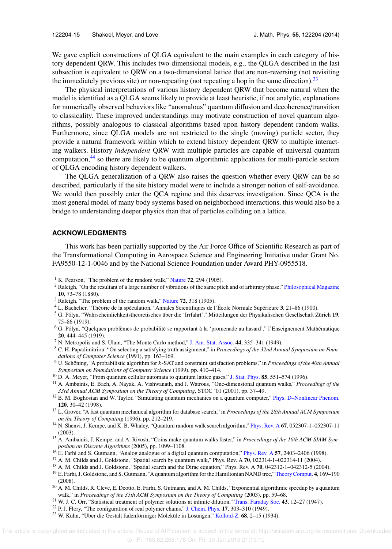We gave explicit constructions of QLGA equivalent to the main examples in each category of history dependent QRW. This includes two-dimensional models, e.g., the QLGA described in the last subsection is equivalent to QRW on a two-dimensional lattice that are non-reversing (not revisiting the immediately previous site) or non-repeating (not repeating a hop in the same direction).<sup>[33](#page-16-16)</sup>

The physical interpretations of various history dependent QRW that become natural when the model is identified as a QLGA seems likely to provide at least heuristic, if not analytic, explanations for numerically observed behaviors like "anomalous" quantum diffusion and decoherence/transition to classicality. These improved understandings may motivate construction of novel quantum algorithms, possibly analogous to classical algorithms based upon history dependent random walks. Furthermore, since QLGA models are not restricted to the single (moving) particle sector, they provide a natural framework within which to extend history dependent QRW to multiple interacting walkers. History *independent* QRW with multiple particles are capable of universal quantum computation, $44$  so there are likely to be quantum algorithmic applications for multi-particle sectors of QLGA encoding history dependent walkers.

The QLGA generalization of a QRW also raises the question whether every QRW can be so described, particularly if the site history model were to include a stronger notion of self-avoidance. We would then possibly enter the QCA regime and this deserves investigation. Since QCA is the most general model of many body systems based on neighborhood interactions, this would also be a bridge to understanding deeper physics than that of particles colliding on a lattice.

#### **ACKNOWLEDGMENTS**

This work has been partially supported by the Air Force Office of Scientific Research as part of the Transformational Computing in Aerospace Science and Engineering Initiative under Grant No. FA9550-12-1-0046 and by the National Science Foundation under Award PHY-0955518.

- <span id="page-15-0"></span><sup>1</sup> K. Pearson, "The problem of the random walk," [Nature](http://dx.doi.org/10.1038/072294b0) 72, 294 (1905).
- <span id="page-15-1"></span><sup>2</sup> Raleigh, "On the resultant of a large number of vibrations of the same pitch and of arbitrary phase," [Philosophical Magazine](http://dx.doi.org/10.1080/14786448008626893) 10, 73–78 (1880).
- <sup>3</sup> Raleigh, "The problem of the random walk," [Nature](http://dx.doi.org/10.1038/072318a0) 72, 318 (1905).
- <sup>4</sup> L. Bachelier, "Théorie de la spéculation," Annales Scientifiques de l'École Normale Supérieure 3, 21–86 (1900).
- <sup>5</sup> G. Pólya, "Wahrscheinlichkeitstheoretisches über die 'Irrfahrt'," Mitteilungen der Physikalischen Gesellschaft Zürich 19, 75–86 (1919).
- <span id="page-15-2"></span><sup>6</sup> G. Pólya, "Quelques problèmes de probabilité se rapportant à la 'promenade au hasard'," l'Enseignement Mathématique 20, 444–445 (1919).
- <span id="page-15-3"></span> $<sup>7</sup>$  N. Metropolis and S. Ulam, "The Monte Carlo method," [J. Am. Stat. Assoc.](http://dx.doi.org/10.1080/01621459.1949.10483310) 44, 335–341 (1949).</sup>
- <span id="page-15-4"></span><sup>8</sup> C. H. Papadimitriou, "On selecting a satisfying truth assignment," in *Proceedings of the 32nd Annual Symposium on Foundations of Computer Science* (1991), pp. 163–169.
- <span id="page-15-5"></span><sup>9</sup> U. Schöning, "A probabilistic algorithm for k-SAT and constraint satisfaction problems," in *Proceedings of the 40th Annual Symposium on Foundations of Computer Science* (1999), pp. 410–414.
- <span id="page-15-6"></span><sup>10</sup> D. A. Meyer, "From quantum cellular automata to quantum lattice gases," [J. Stat. Phys.](http://dx.doi.org/10.1007/BF02199356) **85**, 551–574 (1996).
- <span id="page-15-7"></span><sup>11</sup> A. Ambainis, E. Bach, A. Nayak, A. Vishwanath, and J. Watrous, "One-dimensional quantum walks," *Proceedings of the 33rd Annual ACM Symposium on the Theory of Computing*, STOC '01 (2001), pp. 37–49.
- <span id="page-15-8"></span><sup>12</sup> B. M. Boghosian and W. Taylor, "Simulating quantum mechanics on a quantum computer," [Phys. D–Nonlinear Phenom.](http://dx.doi.org/10.1016/S0167-2789\(98\)00042-6) 120, 30–42 (1998).
- <span id="page-15-9"></span><sup>13</sup> L. Grover, "A fast quantum mechanical algorithm for database search," in *Proceedings of the 28th Annual ACM Symposium on the Theory of Computing* (1996), pp. 212–219.
- <span id="page-15-10"></span><sup>14</sup> N. Shenvi, J. Kempe, and K. B. Whaley, "Quantum random walk search algorithm," [Phys. Rev. A](http://dx.doi.org/10.1103/PhysRevA.67.052307) 67, 052307-1-052307-11 (2003).
- <span id="page-15-11"></span><sup>15</sup> A. Ambainis, J. Kempe, and A. Rivosh, "Coins make quantum walks faster," in *Proceedings of the 16th ACM-SIAM Symposium on Discrete Algorithms* (2005), pp. 1099–1108.
- <span id="page-15-12"></span><sup>16</sup> E. Farhi and S. Gutmann, "Analog analogue of a digital quantum computation," [Phys. Rev. A](http://dx.doi.org/10.1103/PhysRevA.57.2403) 57, 2403-2406 (1998).
- <span id="page-15-13"></span><sup>17</sup> A. M. Childs and J. Goldstone, "Spatial search by quantum walk," Phys. Rev. A **70**, 022314-1-022314-11 (2004).
- <span id="page-15-14"></span><sup>18</sup> A. M. Childs and J. Goldstone, "Spatial search and the Dirac equation," Phys. Rev. A 70, 042312-1–042312-5 (2004).
- <span id="page-15-15"></span><sup>19</sup> E. Farhi, J. Goldstone, and S. Gutmann, "A quantum algorithm for the Hamiltonian NAND tree," [Theory Comput.](http://dx.doi.org/10.4086/toc.2008.v004a008) 4, 169–190 (2008).
- <span id="page-15-16"></span> $^{20}$  A. M. Childs, R. Cleve, E. Deotto, E. Farhi, S. Gutmann, and A. M. Childs, "Exponential algorithmic speedup by a quantum walk," in *Proceedings of the 35th ACM Symposium on the Theory of Computing* (2003), pp. 59–68.
- <span id="page-15-17"></span><sup>21</sup> W. J. C. Orr, "Statistical treatment of polymer solutions at infinite dilution," [Trans. Faraday Soc.](http://dx.doi.org/10.1039/tf9474300012) 43, 12-27 (1947).

<sup>23</sup> W. Kuhn, "Über die Gestalt fadenförmiger Moleküle in Lösungen," [Kolloid-Z.](http://dx.doi.org/10.1007/BF01451681) 68, 2–15 (1934).

<span id="page-15-18"></span> $22$  P. J. Flory, "The configuration of real polymer chains," [J. Chem. Phys.](http://dx.doi.org/10.1063/1.1747243) 17, 303-310 (1949).